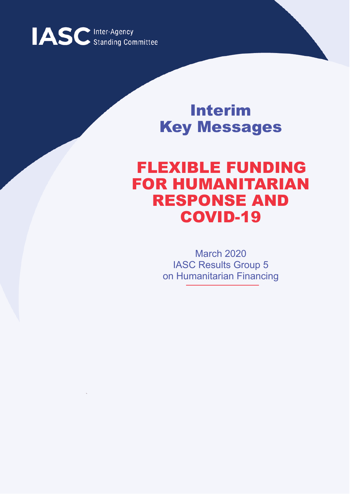

# Interim Key Messages

# FLEXIBLE FUNDING FOR HUMANITARIAN RESPONSE AND COVID-19

March 2020 IASC Results Group 5 on Humanitarian Financing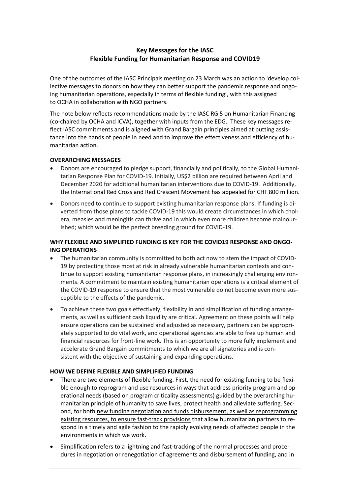## **Key Messages for the IASC Flexible Funding for Humanitarian Response and COVID19**

One of the outcomes of the IASC Principals meeting on 23 March was an action to 'develop collective messages to donors on how they can better support the pandemic response and ongoing humanitarian operations, especially in terms of flexible funding', with this assigned to OCHA in collaboration with NGO partners.

The note below reflects recommendations made by the IASC RG 5 on Humanitarian Financing (co-chaired by OCHA and ICVA), together with inputs from the EDG. These key messages reflect IASC commitments and is aligned with Grand Bargain principles aimed at putting assistance into the hands of people in need and to improve the effectiveness and efficiency of humanitarian action.

#### **OVERARCHING MESSAGES**

- Donors are encouraged to pledge support, financially and politically, to the Global Humanitarian Response Plan for COVID-19. Initially, US\$2 billion are required between April and December 2020 for additional humanitarian interventions due to COVID-19. Additionally, the International Red Cross and Red Crescent Movement has appealed for CHF 800 million.
- Donors need to continue to support existing humanitarian response plans. If funding is diverted from those plans to tackle COVID-19 this would create circumstances in which cholera, measles and meningitis can thrive and in which even more children become malnourished; which would be the perfect breeding ground for COVID-19.

### **WHY FLEXIBLE AND SIMPLIFIED FUNDING IS KEY FOR THE COVID19 RESPONSE AND ONGO-ING OPERATIONS**

- The humanitarian community is committed to both act now to stem the impact of COVID-19 by protecting those most at risk in already vulnerable humanitarian contexts and continue to support existing humanitarian response plans, in increasingly challenging environments. A commitment to maintain existing humanitarian operations is a critical element of the COVID-19 response to ensure that the most vulnerable do not become even more susceptible to the effects of the pandemic.
- To achieve these two goals effectively, flexibility in and simplification of funding arrangements, as well as sufficient cash liquidity are critical. Agreement on these points will help ensure operations can be sustained and adjusted as necessary, partners can be appropriately supported to do vital work, and operational agencies are able to free up human and financial resources for front-line work. This is an opportunity to more fully implement and accelerate Grand Bargain commitments to which we are all signatories and is consistent with the objective of sustaining and expanding operations.

#### **HOW WE DEFINE FLEXIBLE AND SIMPLIFIED FUNDING**

- There are two elements of flexible funding. First, the need for existing funding to be flexible enough to reprogram and use resources in ways that address priority program and operational needs (based on program criticality assessments) guided by the overarching humanitarian principle of humanity to save lives, protect health and alleviate suffering. Second, for both new funding negotiation and funds disbursement, as well as reprogramming existing resources, to ensure fast-track provisions that allow humanitarian partners to respond in a timely and agile fashion to the rapidly evolving needs of affected people in the environments in which we work.
- Simplification refers to a lightning and fast-tracking of the normal processes and procedures in negotiation or renegotiation of agreements and disbursement of funding, and in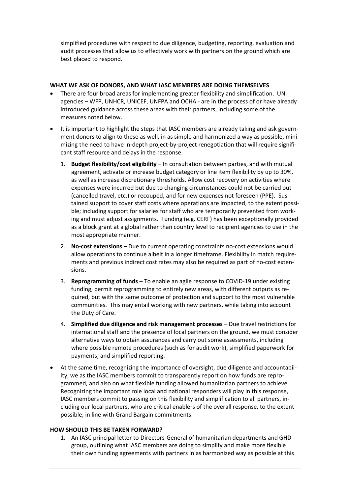simplified procedures with respect to due diligence, budgeting, reporting, evaluation and audit processes that allow us to effectively work with partners on the ground which are best placed to respond.

#### **WHAT WE ASK OF DONORS, AND WHAT IASC MEMBERS ARE DOING THEMSELVES**

- There are four broad areas for implementing greater flexibility and simplification. UN agencies – WFP, UNHCR, UNICEF, UNFPA and OCHA - are in the process of or have already introduced guidance across these areas with their partners, including some of the measures noted below.
- It is important to highlight the steps that IASC members are already taking and ask government donors to align to these as well, in as simple and harmonized a way as possible, minimizing the need to have in-depth project-by-project renegotiation that will require significant staff resource and delays in the response.
	- 1. **Budget flexibility/cost eligibility** In consultation between parties, and with mutual agreement, activate or increase budget category or line item flexibility by up to 30%, as well as increase discretionary thresholds. Allow cost recovery on activities where expenses were incurred but due to changing circumstances could not be carried out (cancelled travel, etc.) or recouped, and for new expenses not foreseen (PPE). Sustained support to cover staff costs where operations are impacted, to the extent possible; including support for salaries for staff who are temporarily prevented from working and must adjust assignments. Funding (e.g. CERF) has been exceptionally provided as a block grant at a global rather than country level to recipient agencies to use in the most appropriate manner.
	- 2. **No-cost extensions** Due to current operating constraints no-cost extensions would allow operations to continue albeit in a longer timeframe. Flexibility in match requirements and previous indirect cost rates may also be required as part of no-cost extensions.
	- 3. **Reprogramming of funds** To enable an agile response to COVID-19 under existing funding, permit reprogramming to entirely new areas, with different outputs as required, but with the same outcome of protection and support to the most vulnerable communities. This may entail working with new partners, while taking into account the Duty of Care.
	- 4. **Simplified due diligence and risk management processes** Due travel restrictions for international staff and the presence of local partners on the ground, we must consider alternative ways to obtain assurances and carry out some assessments, including where possible remote procedures (such as for audit work), simplified paperwork for payments, and simplified reporting.
- At the same time, recognizing the importance of oversight, due diligence and accountability, we as the IASC members commit to transparently report on how funds are reprogrammed, and also on what flexible funding allowed humanitarian partners to achieve. Recognizing the important role local and national responders will play in this response, IASC members commit to passing on this flexibility and simplification to all partners, including our local partners, who are critical enablers of the overall response, to the extent possible, in line with Grand Bargain commitments.

### **HOW SHOULD THIS BE TAKEN FORWARD?**

1. An IASC principal letter to Directors-General of humanitarian departments and GHD group, outlining what IASC members are doing to simplify and make more flexible their own funding agreements with partners in as harmonized way as possible at this